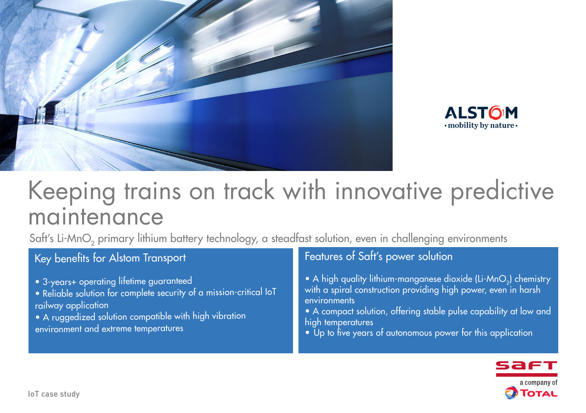



# Keeping trains on track with innovative predictive maintenance

Saft's Li-MnO<sub>2</sub> primary lithium battery technology, a steadfast solution, even in challenging environments

Key benefits for Alstom Transport

- 3-years+ operating lifetime guaranteed
- Reliable solution for complete security of a mission-critical IoT railway application
- A ruggedized solution compatible with high vibration environment and extreme temperatures

# Features of Saft's power solution

- A high quality lithium-manganese dioxide (Li-MnO<sub>2</sub>) chemistry with a spiral construction providing high power, even in harsh environments
- A compact solution, offering stable pulse capability at low and high temperatures
- Up to five years of autonomous power for this application